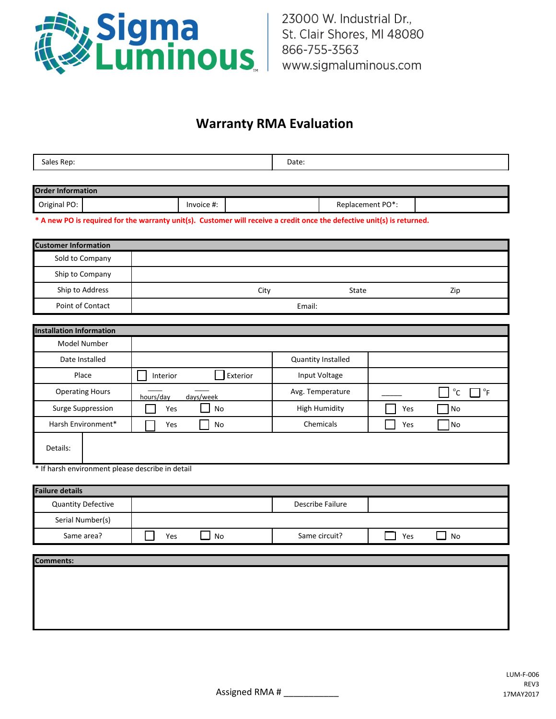

## **Warranty RMA Evaluation**

| RAM<br>sales<br>$\sim$ $\sim$ | <b>Udive</b><br>$- - - - -$ |
|-------------------------------|-----------------------------|
|                               |                             |

| <b>Order Information</b> |  |            |  |                  |  |
|--------------------------|--|------------|--|------------------|--|
| Original PO:             |  | Invoice #: |  | Replacement PO*: |  |

**\* A new PO is required for the warranty unit(s). Customer will receive a credit once the defective unit(s) is returned.**

| <b>Customer Information</b>     |                        |                           |     |                                           |
|---------------------------------|------------------------|---------------------------|-----|-------------------------------------------|
| Sold to Company                 |                        |                           |     |                                           |
|                                 |                        |                           |     |                                           |
| Ship to Company                 |                        |                           |     |                                           |
| Ship to Address                 | City                   | State                     |     | Zip                                       |
| Point of Contact                | Email:                 |                           |     |                                           |
|                                 |                        |                           |     |                                           |
| <b>Installation Information</b> |                        |                           |     |                                           |
| Model Number                    |                        |                           |     |                                           |
| Date Installed                  |                        | <b>Quantity Installed</b> |     |                                           |
| Place                           | Exterior<br>Interior   | Input Voltage             |     |                                           |
| <b>Operating Hours</b>          | days/week<br>hours/day | Avg. Temperature          |     | $^{\circ}$ C<br>$\mathrm{P}_{\mathrm{F}}$ |
| Surge Suppression               | No<br>Yes              | <b>High Humidity</b>      | Yes | No                                        |
| Harsh Environment*              | Yes<br>No              | Chemicals                 | Yes | No                                        |
| Details:                        |                        |                           |     |                                           |

\* If harsh environment please describe in detail

| <b>Failure details</b>    |     |    |  |                  |     |    |  |
|---------------------------|-----|----|--|------------------|-----|----|--|
| <b>Quantity Defective</b> |     |    |  | Describe Failure |     |    |  |
| Serial Number(s)          |     |    |  |                  |     |    |  |
| Same area?                | Yes | No |  | Same circuit?    | Yes | No |  |
|                           |     |    |  |                  |     |    |  |
| <b>Comments:</b>          |     |    |  |                  |     |    |  |